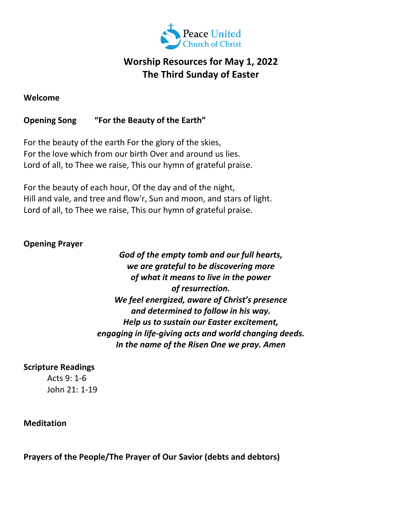

# **Worship Resources for May 1, 2022 The Third Sunday of Easter**

### **Welcome**

# **Opening Song "For the Beauty of the Earth"**

For the beauty of the earth For the glory of the skies, For the love which from our birth Over and around us lies. Lord of all, to Thee we raise, This our hymn of grateful praise.

For the beauty of each hour, Of the day and of the night, Hill and vale, and tree and flow'r, Sun and moon, and stars of light. Lord of all, to Thee we raise, This our hymn of grateful praise.

### **Opening Prayer**

# *God of the empty tomb and our full hearts, we are grateful to be discovering more of what it means to live in the power of resurrection. We feel energized, aware of Christ's presence and determined to follow in his way. Help us to sustain our Easter excitement, engaging in life‐giving acts and world changing deeds. In the name of the Risen One we pray. Amen*

### **Scripture Readings**

Acts 9: 1‐6 John 21: 1‐19

### **Meditation**

**Prayers of the People/The Prayer of Our Savior (debts and debtors)**